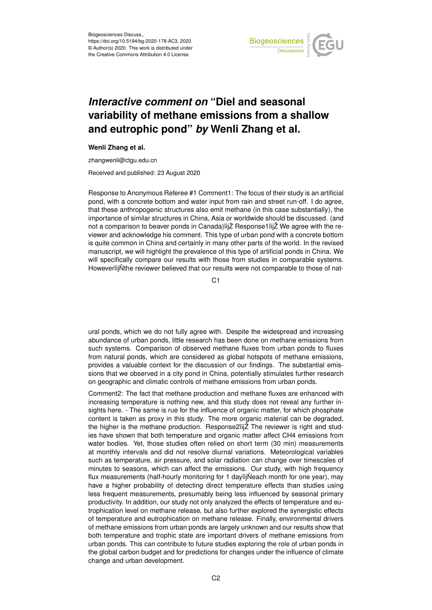

## *Interactive comment on* **"Diel and seasonal variability of methane emissions from a shallow and eutrophic pond"** *by* **Wenli Zhang et al.**

## **Wenli Zhang et al.**

zhangwenli@ctgu.edu.cn

Received and published: 23 August 2020

Response to Anonymous Referee #1 Comment1: The focus of their study is an artificial pond, with a concrete bottom and water input from rain and street run-off. I do agree, that these anthropogenic structures also emit methane (in this case substantially), the importance of similar structures in China, Asia or worldwide should be discussed. (and not a comparison to beaver ponds in Canada)iijZ Response1iijZ We agree with the reviewer and acknowledge his comment. This type of urban pond with a concrete bottom is quite common in China and certainly in many other parts of the world. In the revised manuscript, we will highlight the prevalence of this type of artificial ponds in China. We will specifically compare our results with those from studies in comparable systems. HoweveriijNthe reviewer believed that our results were not comparable to those of nat-

C<sub>1</sub>

ural ponds, which we do not fully agree with. Despite the widespread and increasing abundance of urban ponds, little research has been done on methane emissions from such systems. Comparison of observed methane fluxes from urban ponds to fluxes from natural ponds, which are considered as global hotspots of methane emissions, provides a valuable context for the discussion of our findings. The substantial emissions that we observed in a city pond in China, potentially stimulates further research on geographic and climatic controls of methane emissions from urban ponds.

Comment2: The fact that methane production and methane fluxes are enhanced with increasing temperature is nothing new, and this study does not reveal any further insights here. - The same is rue for the influence of organic matter, for which phosphate content is taken as proxy in this study. The more organic material can be degraded, the higher is the methane production. Response2ïijŽ The reviewer is right and studies have shown that both temperature and organic matter affect CH4 emissions from water bodies. Yet, those studies often relied on short term (30 min) measurements at monthly intervals and did not resolve diurnal variations. Meteorological variables such as temperature, air pressure, and solar radiation can change over timescales of minutes to seasons, which can affect the emissions. Our study, with high frequency flux measurements (half-hourly monitoring for 1 dayiijNeach month for one year), may have a higher probability of detecting direct temperature effects than studies using less frequent measurements, presumably being less influenced by seasonal primary productivity. In addition, our study not only analyzed the effects of temperature and eutrophication level on methane release, but also further explored the synergistic effects of temperature and eutrophication on methane release. Finally, environmental drivers of methane emissions from urban ponds are largely unknown and our results show that both temperature and trophic state are important drivers of methane emissions from urban ponds. This can contribute to future studies exploring the role of urban ponds in the global carbon budget and for predictions for changes under the influence of climate change and urban development.